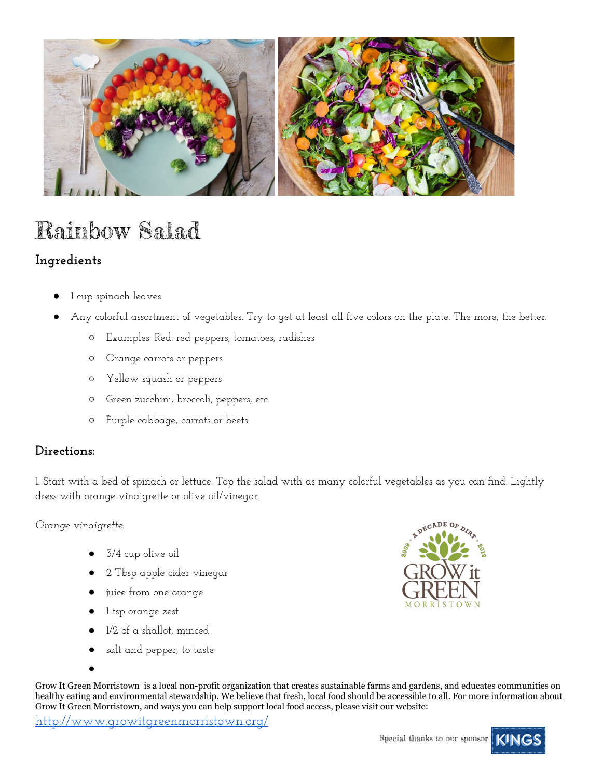

# Rainbow Salad

### **Ingredients**

- l cup spinach leaves
- Any colorful assortment of vegetables. Try to get at least all five colors on the plate. The more, the better.
	- Examples: Red: red peppers, tomatoes, radishes
	- Orange carrots or peppers
	- Yellow squash or peppers
	- Green zucchini, broccoli, peppers, etc.
	- Purple cabbage, carrots or beets

### **Directions:**

1. Start with a bed of spinach or lettuce. Top the salad with as many colorful vegetables as you can find. Lightly dress with orange vinaigrette or olive oil/vinegar.

*Orange vinaigrette:*

- 3/4 cup olive oil
- 2 Tbsp apple cider vinegar
- juice from one orange
- 1 tsp orange zest
- 1/2 of a shallot, minced
- salt and pepper, to taste

Grow It Green Morristown is a local non-profit organization that creates sustainable farms and gardens, and educates communities on healthy eating and environmental stewardship. We believe that fresh, local food should be accessible to all. For more information about Grow It Green Morristown, and ways you can help support local food access, please visit our website:

<http://www.growitgreenmorristown.org/>





<sup>●</sup>